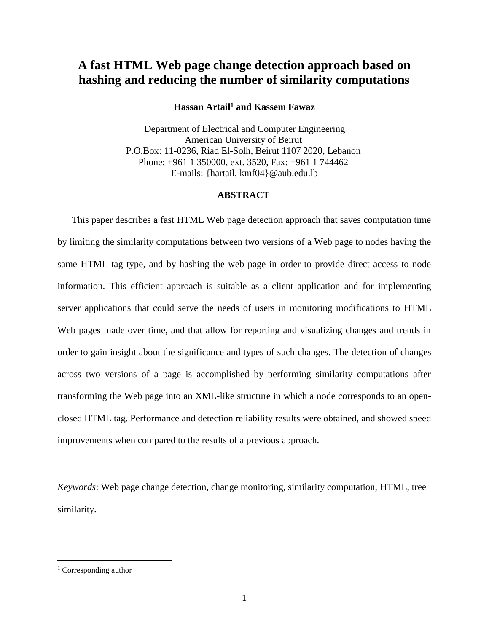# **A fast HTML Web page change detection approach based on hashing and reducing the number of similarity computations**

# **Hassan Artail<sup>1</sup> and Kassem Fawaz**

Department of Electrical and Computer Engineering American University of Beirut P.O.Box: 11-0236, Riad El-Solh, Beirut 1107 2020, Lebanon Phone: +961 1 350000, ext. 3520, Fax: +961 1 744462 E-mails: {hartail, kmf04}@aub.edu.lb

# **ABSTRACT**

This paper describes a fast HTML Web page detection approach that saves computation time by limiting the similarity computations between two versions of a Web page to nodes having the same HTML tag type, and by hashing the web page in order to provide direct access to node information. This efficient approach is suitable as a client application and for implementing server applications that could serve the needs of users in monitoring modifications to HTML Web pages made over time, and that allow for reporting and visualizing changes and trends in order to gain insight about the significance and types of such changes. The detection of changes across two versions of a page is accomplished by performing similarity computations after transforming the Web page into an XML-like structure in which a node corresponds to an openclosed HTML tag. Performance and detection reliability results were obtained, and showed speed improvements when compared to the results of a previous approach.

*Keywords*: Web page change detection, change monitoring, similarity computation, HTML, tree similarity.

 $\overline{a}$ 

<sup>&</sup>lt;sup>1</sup> Corresponding author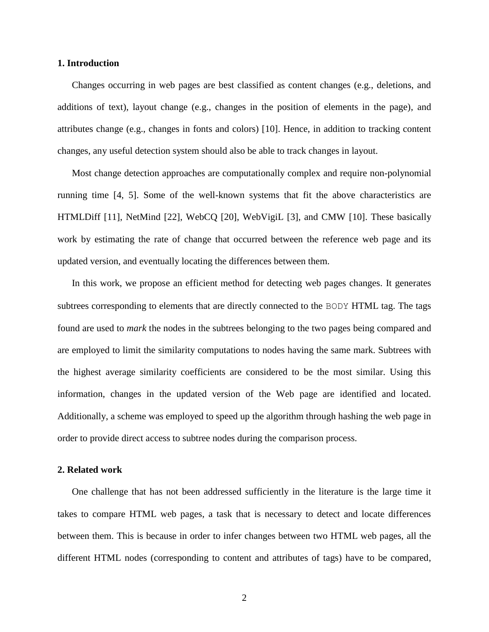#### **1. Introduction**

Changes occurring in web pages are best classified as content changes (e.g., deletions, and additions of text), layout change (e.g., changes in the position of elements in the page), and attributes change (e.g., changes in fonts and colors) [10]. Hence, in addition to tracking content changes, any useful detection system should also be able to track changes in layout.

Most change detection approaches are computationally complex and require non-polynomial running time [4, 5]. Some of the well-known systems that fit the above characteristics are HTMLDiff [11], NetMind [22], WebCQ [20], WebVigiL [3], and CMW [10]. These basically work by estimating the rate of change that occurred between the reference web page and its updated version, and eventually locating the differences between them.

In this work, we propose an efficient method for detecting web pages changes. It generates subtrees corresponding to elements that are directly connected to the BODY HTML tag. The tags found are used to *mark* the nodes in the subtrees belonging to the two pages being compared and are employed to limit the similarity computations to nodes having the same mark. Subtrees with the highest average similarity coefficients are considered to be the most similar. Using this information, changes in the updated version of the Web page are identified and located. Additionally, a scheme was employed to speed up the algorithm through hashing the web page in order to provide direct access to subtree nodes during the comparison process.

# **2. Related work**

One challenge that has not been addressed sufficiently in the literature is the large time it takes to compare HTML web pages, a task that is necessary to detect and locate differences between them. This is because in order to infer changes between two HTML web pages, all the different HTML nodes (corresponding to content and attributes of tags) have to be compared,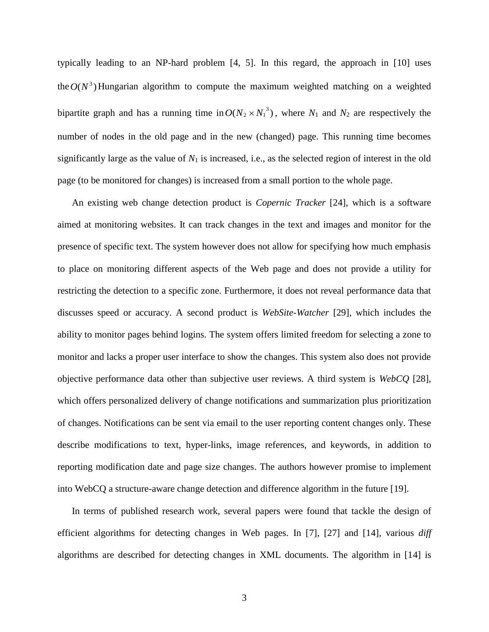typically leading to an NP-hard problem [4, 5]. In this regard, the approach in [10] uses the  $O(N^3)$  Hungarian algorithm to compute the maximum weighted matching on a weighted bipartite graph and has a running time in  $O(N_2 \times N_1^3)$ , where  $N_1$  and  $N_2$  are respectively the number of nodes in the old page and in the new (changed) page. This running time becomes significantly large as the value of  $N_1$  is increased, i.e., as the selected region of interest in the old page (to be monitored for changes) is increased from a small portion to the whole page.

An existing web change detection product is *Copernic Tracker* [24], which is a software aimed at monitoring websites. It can track changes in the text and images and monitor for the presence of specific text. The system however does not allow for specifying how much emphasis to place on monitoring different aspects of the Web page and does not provide a utility for restricting the detection to a specific zone. Furthermore, it does not reveal performance data that discusses speed or accuracy. A second product is *WebSite-Watcher* [29], which includes the ability to monitor pages behind logins. The system offers limited freedom for selecting a zone to monitor and lacks a proper user interface to show the changes. This system also does not provide objective performance data other than subjective user reviews. A third system is *WebCQ* [28], which offers personalized delivery of change notifications and summarization plus prioritization of changes. Notifications can be sent via email to the user reporting content changes only. These describe modifications to text, hyper-links, image references, and keywords, in addition to reporting modification date and page size changes. The authors however promise to implement into WebCQ a structure-aware change detection and difference algorithm in the future [19].

In terms of published research work, several papers were found that tackle the design of efficient algorithms for detecting changes in Web pages. In [7], [27] and [14], various *diff*  algorithms are described for detecting changes in XML documents. The algorithm in [14] is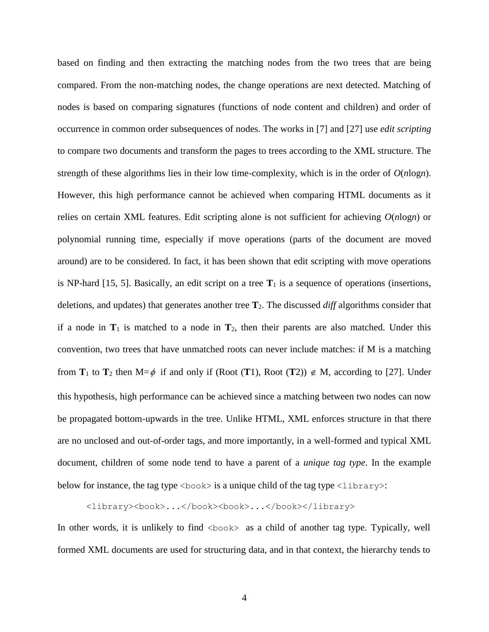based on finding and then extracting the matching nodes from the two trees that are being compared. From the non-matching nodes, the change operations are next detected. Matching of nodes is based on comparing signatures (functions of node content and children) and order of occurrence in common order subsequences of nodes. The works in [7] and [27] use *edit scripting* to compare two documents and transform the pages to trees according to the XML structure. The strength of these algorithms lies in their low time-complexity, which is in the order of *O*(*n*log*n*). However, this high performance cannot be achieved when comparing HTML documents as it relies on certain XML features. Edit scripting alone is not sufficient for achieving *O*(*n*log*n*) or polynomial running time, especially if move operations (parts of the document are moved around) are to be considered. In fact, it has been shown that edit scripting with move operations is NP-hard [15, 5]. Basically, an edit script on a tree  $T_1$  is a sequence of operations (insertions, deletions, and updates) that generates another tree **T**2. The discussed *diff* algorithms consider that if a node in  $T_1$  is matched to a node in  $T_2$ , then their parents are also matched. Under this convention, two trees that have unmatched roots can never include matches: if M is a matching from  $T_1$  to  $T_2$  then  $M = \phi$  if and only if (Root (T1), Root (T2))  $\notin M$ , according to [27]. Under this hypothesis, high performance can be achieved since a matching between two nodes can now be propagated bottom-upwards in the tree. Unlike HTML, XML enforces structure in that there are no unclosed and out-of-order tags, and more importantly, in a well-formed and typical XML document, children of some node tend to have a parent of a *unique tag type*. In the example below for instance, the tag type  $\langle \text{book} \rangle$  is a unique child of the tag type  $\langle \text{library} \rangle$ :

# <library><book>...</book><book>...</book></library>

In other words, it is unlikely to find  $\langle \text{book} \rangle$  as a child of another tag type. Typically, well formed XML documents are used for structuring data, and in that context, the hierarchy tends to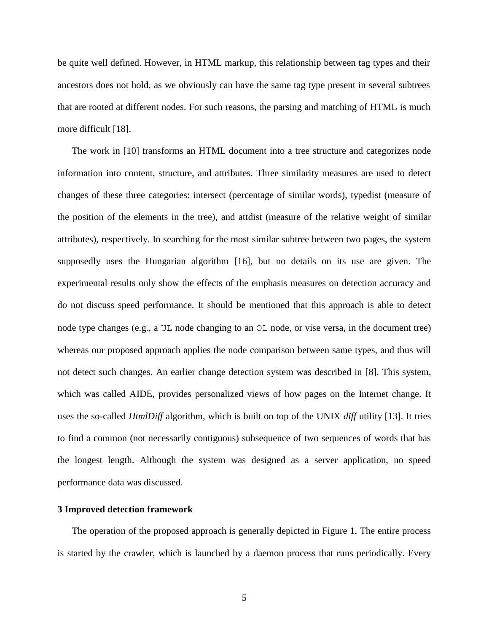be quite well defined. However, in HTML markup, this relationship between tag types and their ancestors does not hold, as we obviously can have the same tag type present in several subtrees that are rooted at different nodes. For such reasons, the parsing and matching of HTML is much more difficult [18].

The work in [10] transforms an HTML document into a tree structure and categorizes node information into content, structure, and attributes. Three similarity measures are used to detect changes of these three categories: intersect (percentage of similar words), typedist (measure of the position of the elements in the tree), and attdist (measure of the relative weight of similar attributes), respectively. In searching for the most similar subtree between two pages, the system supposedly uses the Hungarian algorithm [16], but no details on its use are given. The experimental results only show the effects of the emphasis measures on detection accuracy and do not discuss speed performance. It should be mentioned that this approach is able to detect node type changes (e.g., a UL node changing to an OL node, or vise versa, in the document tree) whereas our proposed approach applies the node comparison between same types, and thus will not detect such changes. An earlier change detection system was described in [8]. This system, which was called AIDE, provides personalized views of how pages on the Internet change. It uses the so-called *HtmlDiff* algorithm, which is built on top of the UNIX *diff* utility [13]. It tries to find a common (not necessarily contiguous) subsequence of two sequences of words that has the longest length. Although the system was designed as a server application, no speed performance data was discussed.

# **3 Improved detection framework**

The operation of the proposed approach is generally depicted in Figure 1. The entire process is started by the crawler, which is launched by a daemon process that runs periodically. Every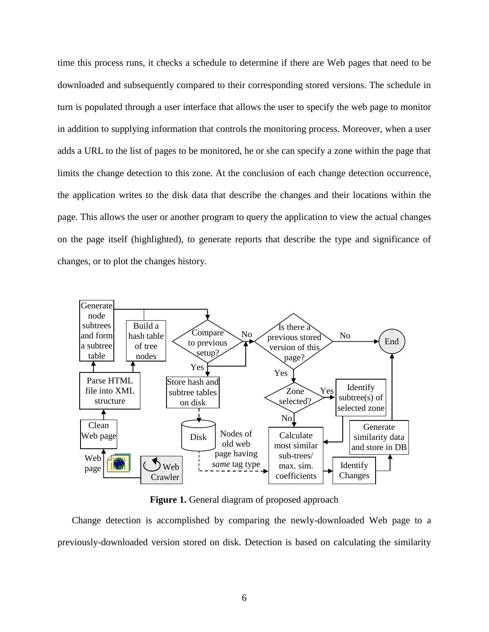time this process runs, it checks a schedule to determine if there are Web pages that need to be downloaded and subsequently compared to their corresponding stored versions. The schedule in turn is populated through a user interface that allows the user to specify the web page to monitor in addition to supplying information that controls the monitoring process. Moreover, when a user adds a URL to the list of pages to be monitored, he or she can specify a zone within the page that limits the change detection to this zone. At the conclusion of each change detection occurrence, the application writes to the disk data that describe the changes and their locations within the page. This allows the user or another program to query the application to view the actual changes on the page itself (highlighted), to generate reports that describe the type and significance of changes, or to plot the changes history.



**Figure 1.** General diagram of proposed approach

Change detection is accomplished by comparing the newly-downloaded Web page to a previously-downloaded version stored on disk. Detection is based on calculating the similarity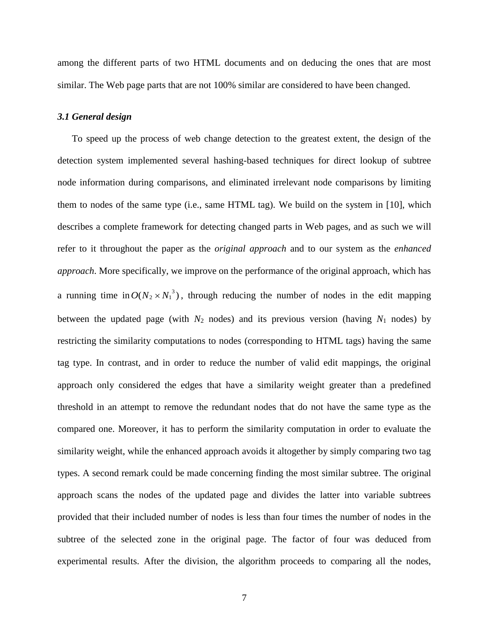among the different parts of two HTML documents and on deducing the ones that are most similar. The Web page parts that are not 100% similar are considered to have been changed.

#### *3.1 General design*

To speed up the process of web change detection to the greatest extent, the design of the detection system implemented several hashing-based techniques for direct lookup of subtree node information during comparisons, and eliminated irrelevant node comparisons by limiting them to nodes of the same type (i.e., same HTML tag). We build on the system in [10], which describes a complete framework for detecting changed parts in Web pages, and as such we will refer to it throughout the paper as the *original approach* and to our system as the *enhanced approach*. More specifically, we improve on the performance of the original approach, which has a running time in  $O(N_2 \times N_1^3)$ , through reducing the number of nodes in the edit mapping between the updated page (with  $N_2$  nodes) and its previous version (having  $N_1$  nodes) by restricting the similarity computations to nodes (corresponding to HTML tags) having the same tag type. In contrast, and in order to reduce the number of valid edit mappings, the original approach only considered the edges that have a similarity weight greater than a predefined threshold in an attempt to remove the redundant nodes that do not have the same type as the compared one. Moreover, it has to perform the similarity computation in order to evaluate the similarity weight, while the enhanced approach avoids it altogether by simply comparing two tag types. A second remark could be made concerning finding the most similar subtree. The original approach scans the nodes of the updated page and divides the latter into variable subtrees provided that their included number of nodes is less than four times the number of nodes in the subtree of the selected zone in the original page. The factor of four was deduced from experimental results. After the division, the algorithm proceeds to comparing all the nodes,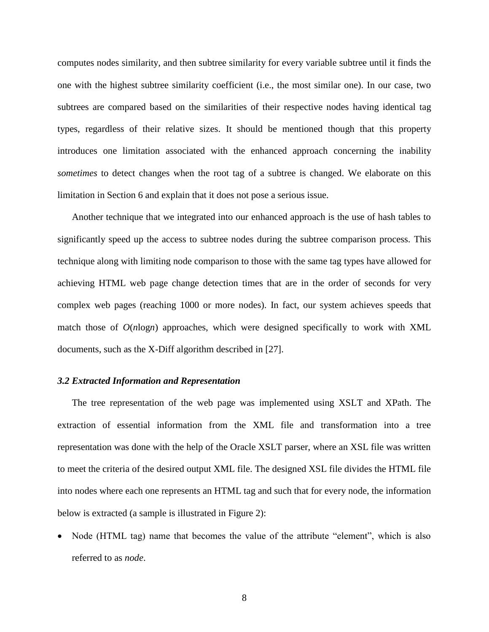computes nodes similarity, and then subtree similarity for every variable subtree until it finds the one with the highest subtree similarity coefficient (i.e., the most similar one). In our case, two subtrees are compared based on the similarities of their respective nodes having identical tag types, regardless of their relative sizes. It should be mentioned though that this property introduces one limitation associated with the enhanced approach concerning the inability *sometimes* to detect changes when the root tag of a subtree is changed. We elaborate on this limitation in Section 6 and explain that it does not pose a serious issue.

Another technique that we integrated into our enhanced approach is the use of hash tables to significantly speed up the access to subtree nodes during the subtree comparison process. This technique along with limiting node comparison to those with the same tag types have allowed for achieving HTML web page change detection times that are in the order of seconds for very complex web pages (reaching 1000 or more nodes). In fact, our system achieves speeds that match those of *O*(*n*log*n*) approaches, which were designed specifically to work with XML documents, such as the X-Diff algorithm described in [27].

#### *3.2 Extracted Information and Representation*

The tree representation of the web page was implemented using XSLT and XPath. The extraction of essential information from the XML file and transformation into a tree representation was done with the help of the Oracle XSLT parser, where an XSL file was written to meet the criteria of the desired output XML file. The designed XSL file divides the HTML file into nodes where each one represents an HTML tag and such that for every node, the information below is extracted (a sample is illustrated in Figure 2):

• Node (HTML tag) name that becomes the value of the attribute "element", which is also referred to as *node*.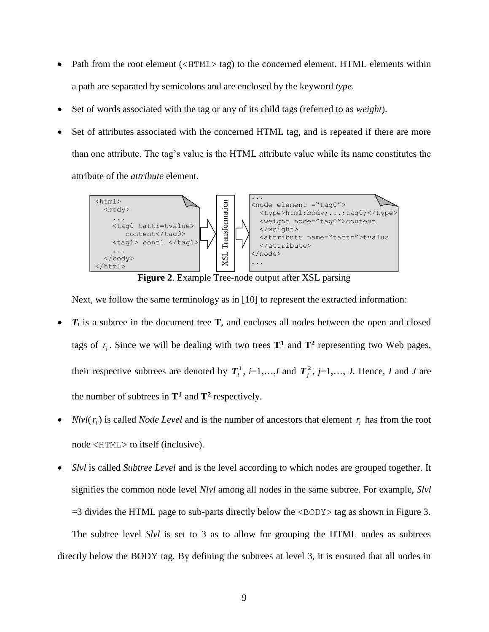- Path from the root element  $(\langle H\text{THL}\rangle \text{ tag})$  to the concerned element. HTML elements within a path are separated by semicolons and are enclosed by the keyword *type*.
- Set of words associated with the tag or any of its child tags (referred to as *weight*).
- Set of attributes associated with the concerned HTML tag, and is repeated if there are more than one attribute. The tag's value is the HTML attribute value while its name constitutes the attribute of the *attribute* element.



**Figure 2**. Example Tree-node output after XSL parsing

Next, we follow the same terminology as in [10] to represent the extracted information:

- *T<sup>i</sup>* is a subtree in the document tree **T**, and encloses all nodes between the open and closed tags of  $r_i$ . Since we will be dealing with two trees  $T^1$  and  $T^2$  representing two Web pages, their respective subtrees are denoted by  $T_i^1$ ,  $i=1,\ldots,I$  and  $T_j^2$ ,  $j=1,\ldots,J$ . Hence, *I* and *J* are the number of subtrees in  $T^1$  and  $T^2$  respectively.
- *Nlvl*( $r_i$ ) is called *Node Level* and is the number of ancestors that element  $r_i$  has from the root node <HTML> to itself (inclusive).
- *Slvl* is called *Subtree Level* and is the level according to which nodes are grouped together. It signifies the common node level *Nlvl* among all nodes in the same subtree. For example, *Slvl*  $=$ 3 divides the HTML page to sub-parts directly below the  $\langle BODY \rangle$  tag as shown in Figure 3. The subtree level *Slvl* is set to 3 as to allow for grouping the HTML nodes as subtrees directly below the BODY tag. By defining the subtrees at level 3, it is ensured that all nodes in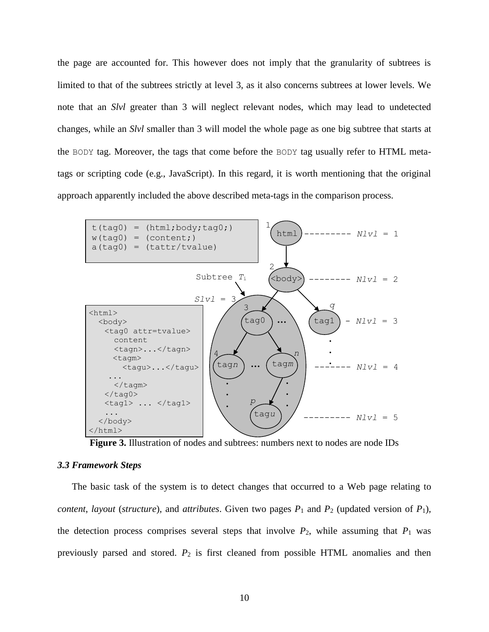the page are accounted for. This however does not imply that the granularity of subtrees is limited to that of the subtrees strictly at level 3, as it also concerns subtrees at lower levels. We note that an *Slvl* greater than 3 will neglect relevant nodes, which may lead to undetected changes, while an *Slvl* smaller than 3 will model the whole page as one big subtree that starts at the BODY tag. Moreover, the tags that come before the BODY tag usually refer to HTML metatags or scripting code (e.g., JavaScript). In this regard, it is worth mentioning that the original approach apparently included the above described meta-tags in the comparison process.



**Figure 3.** Illustration of nodes and subtrees: numbers next to nodes are node IDs

# *3.3 Framework Steps*

The basic task of the system is to detect changes that occurred to a Web page relating to *content*, *layout* (*structure*), and *attributes*. Given two pages  $P_1$  and  $P_2$  (updated version of  $P_1$ ), the detection process comprises several steps that involve  $P_2$ , while assuming that  $P_1$  was previously parsed and stored. *P*<sup>2</sup> is first cleaned from possible HTML anomalies and then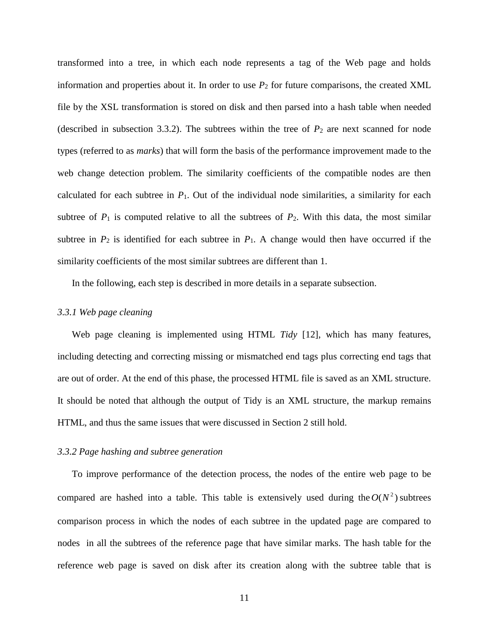transformed into a tree, in which each node represents a tag of the Web page and holds information and properties about it. In order to use  $P_2$  for future comparisons, the created XML file by the XSL transformation is stored on disk and then parsed into a hash table when needed (described in subsection 3.3.2). The subtrees within the tree of  $P_2$  are next scanned for node types (referred to as *marks*) that will form the basis of the performance improvement made to the web change detection problem. The similarity coefficients of the compatible nodes are then calculated for each subtree in  $P_1$ . Out of the individual node similarities, a similarity for each subtree of  $P_1$  is computed relative to all the subtrees of  $P_2$ . With this data, the most similar subtree in  $P_2$  is identified for each subtree in  $P_1$ . A change would then have occurred if the similarity coefficients of the most similar subtrees are different than 1.

In the following, each step is described in more details in a separate subsection.

#### *3.3.1 Web page cleaning*

Web page cleaning is implemented using HTML *Tidy* [12], which has many features, including detecting and correcting missing or mismatched end tags plus correcting end tags that are out of order. At the end of this phase, the processed HTML file is saved as an XML structure. It should be noted that although the output of Tidy is an XML structure, the markup remains HTML, and thus the same issues that were discussed in Section 2 still hold.

# *3.3.2 Page hashing and subtree generation*

To improve performance of the detection process, the nodes of the entire web page to be compared are hashed into a table. This table is extensively used during the  $O(N^2)$  subtrees comparison process in which the nodes of each subtree in the updated page are compared to nodes in all the subtrees of the reference page that have similar marks. The hash table for the reference web page is saved on disk after its creation along with the subtree table that is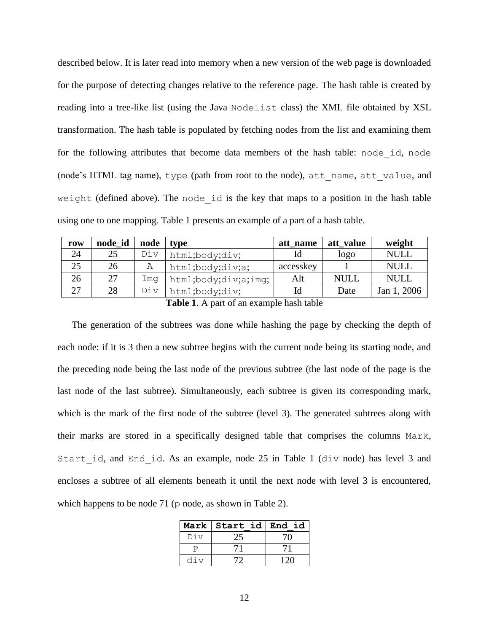described below. It is later read into memory when a new version of the web page is downloaded for the purpose of detecting changes relative to the reference page. The hash table is created by reading into a tree-like list (using the Java NodeList class) the XML file obtained by XSL transformation. The hash table is populated by fetching nodes from the list and examining them for the following attributes that become data members of the hash table: node\_id, node (node's HTML tag name), type (path from root to the node), att\_name, att\_value, and weight (defined above). The node\_id is the key that maps to a position in the hash table using one to one mapping. Table 1 presents an example of a part of a hash table.

| row | node id | node | type                 | att name  | att value   | weight      |
|-----|---------|------|----------------------|-----------|-------------|-------------|
| 24  | 25      | Div  | html;body;div;       |           | logo        | <b>NULL</b> |
| 25  | 26      | Α    | html;body;div;a;     | accesskey |             | <b>NULL</b> |
| 26  | 27      | Ima  | html;body;div;a;imq; | Alt       | <b>NULL</b> | <b>NULL</b> |
| 27  | 28      | Div  | html;body;div;       | Id        | Date        | Jan 1, 2006 |

**Table 1**. A part of an example hash table

The generation of the subtrees was done while hashing the page by checking the depth of each node: if it is 3 then a new subtree begins with the current node being its starting node, and the preceding node being the last node of the previous subtree (the last node of the page is the last node of the last subtree). Simultaneously, each subtree is given its corresponding mark, which is the mark of the first node of the subtree (level 3). The generated subtrees along with their marks are stored in a specifically designed table that comprises the columns Mark, Start id, and End id. As an example, node 25 in Table 1 (div node) has level 3 and encloses a subtree of all elements beneath it until the next node with level 3 is encountered, which happens to be node 71 ( $p$  node, as shown in Table 2).

|     | Mark Start id End id |  |
|-----|----------------------|--|
| Div |                      |  |
|     |                      |  |
| div |                      |  |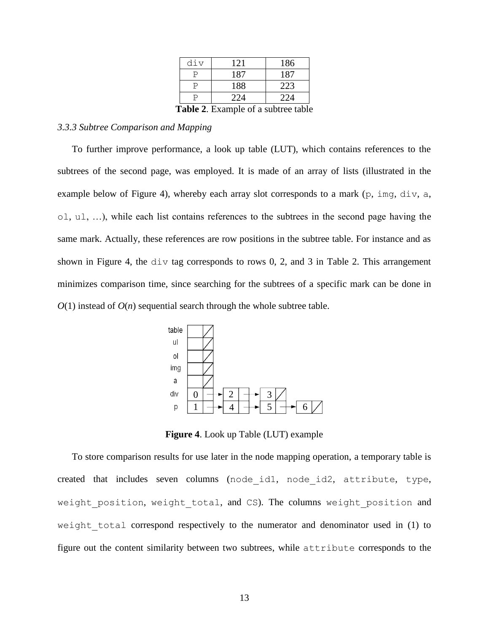| div                                | 121 | 186 |  |  |  |  |
|------------------------------------|-----|-----|--|--|--|--|
|                                    | 187 | 187 |  |  |  |  |
|                                    | 188 | 223 |  |  |  |  |
|                                    | 224 | 224 |  |  |  |  |
| $Table 2$ Example of a subtraction |     |     |  |  |  |  |

**Table 2**. Example of a subtree table

# *3.3.3 Subtree Comparison and Mapping*

To further improve performance, a look up table (LUT), which contains references to the subtrees of the second page, was employed. It is made of an array of lists (illustrated in the example below of Figure 4), whereby each array slot corresponds to a mark (p, imq, div, a, ol, ul, …), while each list contains references to the subtrees in the second page having the same mark. Actually, these references are row positions in the subtree table. For instance and as shown in Figure 4, the div tag corresponds to rows 0, 2, and 3 in Table 2. This arrangement minimizes comparison time, since searching for the subtrees of a specific mark can be done in  $O(1)$  instead of  $O(n)$  sequential search through the whole subtree table.



**Figure 4**. Look up Table (LUT) example

To store comparison results for use later in the node mapping operation, a temporary table is created that includes seven columns (node\_id1, node\_id2, attribute, type, weight position, weight total, and CS). The columns weight position and weight total correspond respectively to the numerator and denominator used in (1) to figure out the content similarity between two subtrees, while attribute corresponds to the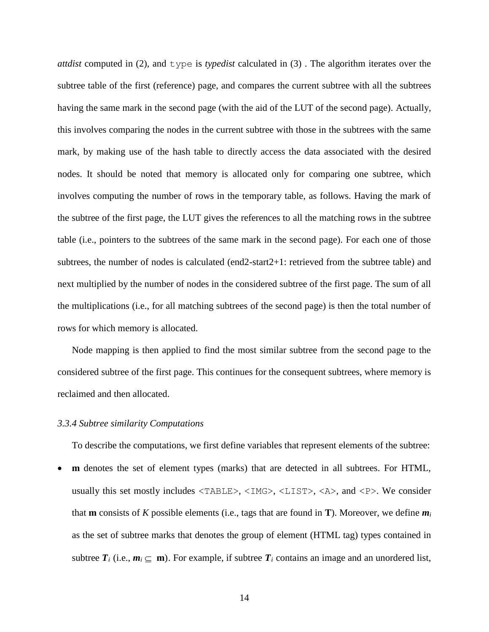*attdist* computed in (2), and type is *typedist* calculated in (3) . The algorithm iterates over the subtree table of the first (reference) page, and compares the current subtree with all the subtrees having the same mark in the second page (with the aid of the LUT of the second page). Actually, this involves comparing the nodes in the current subtree with those in the subtrees with the same mark, by making use of the hash table to directly access the data associated with the desired nodes. It should be noted that memory is allocated only for comparing one subtree, which involves computing the number of rows in the temporary table, as follows. Having the mark of the subtree of the first page, the LUT gives the references to all the matching rows in the subtree table (i.e., pointers to the subtrees of the same mark in the second page). For each one of those subtrees, the number of nodes is calculated (end2-start2+1: retrieved from the subtree table) and next multiplied by the number of nodes in the considered subtree of the first page. The sum of all the multiplications (i.e., for all matching subtrees of the second page) is then the total number of rows for which memory is allocated.

Node mapping is then applied to find the most similar subtree from the second page to the considered subtree of the first page. This continues for the consequent subtrees, where memory is reclaimed and then allocated.

#### *3.3.4 Subtree similarity Computations*

To describe the computations, we first define variables that represent elements of the subtree:

 **m** denotes the set of element types (marks) that are detected in all subtrees. For HTML, usually this set mostly includes <TABLE>, <IMG>, <LIST>, <A>, and <P>. We consider that **m** consists of *K* possible elements (i.e., tags that are found in **T**). Moreover, we define  $m_i$ as the set of subtree marks that denotes the group of element (HTML tag) types contained in subtree  $T_i$  (i.e.,  $m_i \subseteq m$ ). For example, if subtree  $T_i$  contains an image and an unordered list,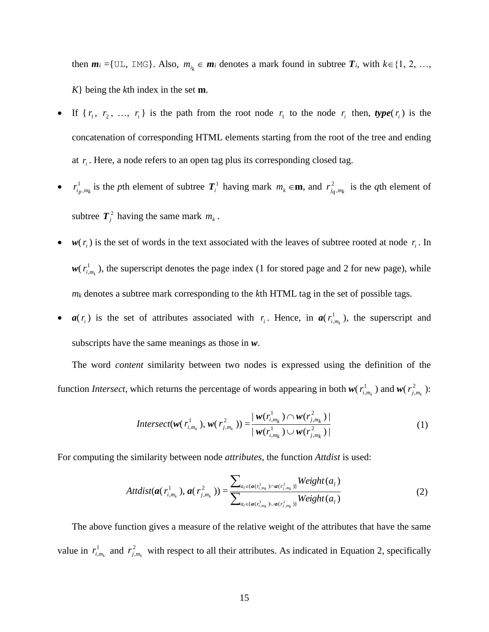then  $m_i = \{ \text{UL}, \text{IMG} \}$ . Also,  $m_{i_k} \in m_i$  denotes a mark found in subtree  $T_i$ , with  $k \in \{1, 2, ...,$ *K*} being the *k*th index in the set **m**.

- If  $\{r_1, r_2, \ldots, r_i\}$  is the path from the root node  $r_1$  to the node  $r_i$  then,  $type(r_i)$  is the concatenation of corresponding HTML elements starting from the root of the tree and ending at  $r_i$ . Here, a node refers to an open tag plus its corresponding closed tag.
- $\bullet$   $r_i^1$  $r_{i_p,m_k}^1$  is the *p*th element of subtree  $T_i^1$  having mark  $m_k \in \mathbf{m}$ , and  $r_{i_q}^2$  $r_{j_q,m_k}^2$  is the *q*th element of subtree  $T_j^2$  having the same mark  $m_k$ .
- $w(r_i)$  is the set of words in the text associated with the leaves of subtree rooted at node  $r_i$ . In  $w(r_i^1)$  $r_{i,m_k}^1$ ), the superscript denotes the page index (1 for stored page and 2 for new page), while *m<sup>k</sup>* denotes a subtree mark corresponding to the *k*th HTML tag in the set of possible tags.
- $a(r_i)$  is the set of attributes associated with  $r_i$ . Hence, in  $a(r_i)$  $r^1_{i,m_k}$ , the superscript and subscripts have the same meanings as those in *w*.

The word *content* similarity between two nodes is expressed using the definition of the function *Intersect*, which returns the percentage of words appearing in both  $w(r_i)$  $r_{i,m_k}^1$ ) and  $w(r_{j,m_k}^2)$  $r_{j,m_k}^2$  ):

$$
Interest(\mathbf{w}(r_{i,m_k}^1), \mathbf{w}(r_{j,m_k}^2)) = \frac{|\mathbf{w}(r_{i,m_k}^1) \cap \mathbf{w}(r_{j,m_k}^2)|}{|\mathbf{w}(r_{i,m_k}^1) \cup \mathbf{w}(r_{j,m_k}^2)|}
$$
(1)

For computing the similarity between node *attributes*, the function *Attdist* is used:

$$
Attdist(a(r_{i,m_k}^1), a(r_{j,m_k}^2)) = \frac{\sum_{a_l \in \{a(r_{i,m_k}^1) \cap a(r_{j,m_k}^2)\}} Weight(a_l)}{\sum_{a_l \in \{a(r_{i,m_k}^1) \cup a(r_{j,m_k}^2)\}} Weight(a_l)}
$$
(2)

The above function gives a measure of the relative weight of the attributes that have the same value in  $r_i^1$  $r_{i,m_k}^1$  and  $r_{j,m_k}^2$  $r_{j,m_k}^2$  with respect to all their attributes. As indicated in Equation 2, specifically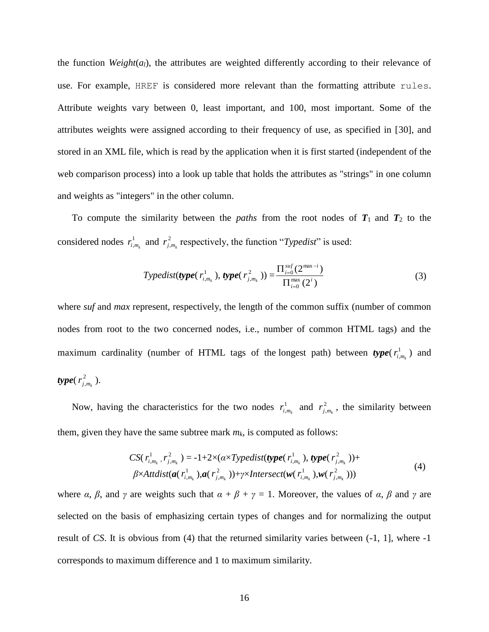the function *Weight*(*al*), the attributes are weighted differently according to their relevance of use. For example, HREF is considered more relevant than the formatting attribute rules. Attribute weights vary between 0, least important, and 100, most important. Some of the attributes weights were assigned according to their frequency of use, as specified in [30], and stored in an XML file, which is read by the application when it is first started (independent of the web comparison process) into a look up table that holds the attributes as "strings" in one column and weights as "integers" in the other column.

To compute the similarity between the *paths* from the root nodes of  $T_1$  and  $T_2$  to the considered nodes  $r_i^1$  $r_{i,m_k}^1$  and  $r_{j,k}^2$  $r_{j,m_k}^2$  respectively, the function "*Typedist*" is used:

$$
Typedist(type(r_{i,m_k}^1),type(r_{j,m_k}^2)) = \frac{\prod_{i=0}^{suf}(2^{\max-i})}{\prod_{i=0}^{\max}(2^i)}
$$
(3)

where *suf* and *max* represent, respectively, the length of the common suffix (number of common nodes from root to the two concerned nodes, i.e., number of common HTML tags) and the maximum cardinality (number of HTML tags of the longest path) between  $type(r_i^1)$  $r^1_{i,m_k}$ ) and  $type(r_i^2)$  $r_{j,m_k}^2$ ).

Now, having the characteristics for the two nodes  $r_i^1$  $r_{i,m_k}^1$  and  $r_{j,k}^2$  $r_{j,m_k}^2$ , the similarity between them, given they have the same subtree mark  $m_k$ , is computed as follows:

$$
CS(r_{i,m_k}^1, r_{j,m_k}^2) = -1 + 2 \times (\alpha \times T \text{ypedist}(\text{type}(r_{i,m_k}^1), \text{type}(r_{j,m_k}^2)) +
$$
  
\n
$$
\beta \times Attdist(\mathbf{a}(r_{i,m_k}^1), \mathbf{a}(r_{j,m_k}^2)) + \gamma \times Interest(\mathbf{w}(r_{i,m_k}^1), \mathbf{w}(r_{j,m_k}^2)))
$$
\n(4)

where *α*,  $\beta$ , and  $\gamma$  are weights such that  $\alpha + \beta + \gamma = 1$ . Moreover, the values of *α*,  $\beta$  and  $\gamma$  are selected on the basis of emphasizing certain types of changes and for normalizing the output result of *CS*. It is obvious from (4) that the returned similarity varies between (-1, 1], where -1 corresponds to maximum difference and 1 to maximum similarity.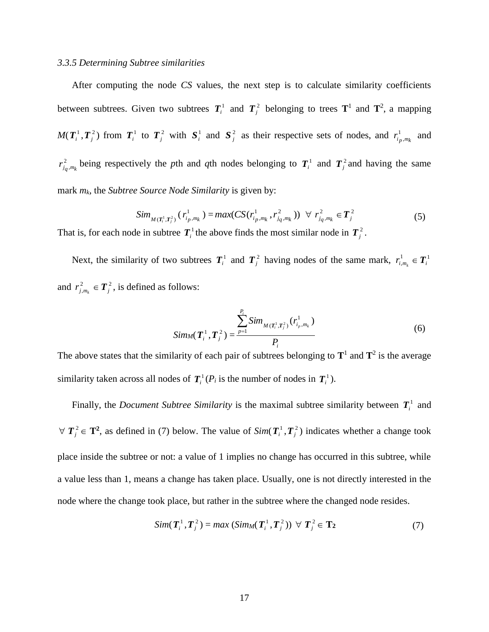#### *3.3.5 Determining Subtree similarities*

After computing the node *CS* values, the next step is to calculate similarity coefficients between subtrees. Given two subtrees  $T_i^1$  and  $T_j^2$  belonging to trees  $T^1$  and  $T^2$ , a mapping  $M(T_i^1, T_j^2)$  from  $T_i^1$  to  $T_j^2$  with  $S_i^1$  and  $S_j^2$  as their respective sets of nodes, and  $r_i^1$  $r_{i_p,m_k}^1$  and 2  $r_{i_q,m_k}^2$  being respectively the *p*th and *q*th nodes belonging to  $T_i^1$  and  $T_j^2$  and having the same mark *mk*, the *Subtree Source Node Similarity* is given by:

$$
Sim_{M(T_i^1, T_j^2)}(r_{i_p,m_k}^1) = max(CS(r_{i_p,m_k}^1, r_{i_q,m_k}^2)) \ \ \forall \ r_{i_q,m_k}^2 \in T_j^2
$$
 (5)

That is, for each node in subtree  $T_i^1$  the above finds the most similar node in  $T_j^2$ .

Next, the similarity of two subtrees  $T_i^1$  and  $T_j^2$  having nodes of the same mark,  $r_{i,i}^1$  $r_{i,m_k}^1 \in T_i^1$ and  $r_i^2$  $r_{j,m_k}^2 \in T_j^2$ , is defined as follows:

$$
Sim_{M}(\boldsymbol{T}_{i}^{1}, \boldsymbol{T}_{j}^{2}) = \frac{\sum_{p=1}^{P_{i}} Sim_{M(\boldsymbol{T}_{i}^{1}, \boldsymbol{T}_{j}^{2})} (r_{i_{p}, m_{k}}^{1})}{P_{i}}
$$
(6)

The above states that the similarity of each pair of subtrees belonging to  $T^1$  and  $T^2$  is the average similarity taken across all nodes of  $T_i^1(P_i)$  is the number of nodes in  $T_i^1$ ).

Finally, the *Document Subtree Similarity* is the maximal subtree similarity between  $T_i^1$  and  $\forall T_j^2 \in \mathbf{T}^2$ , as defined in (7) below. The value of  $Sim(T_i^1, T_j^2)$  indicates whether a change took place inside the subtree or not: a value of 1 implies no change has occurred in this subtree, while a value less than 1, means a change has taken place. Usually, one is not directly interested in the node where the change took place, but rather in the subtree where the changed node resides.

$$
Sim(\boldsymbol{T}_i^1, \boldsymbol{T}_j^2) = max (Sim_M(\boldsymbol{T}_i^1, \boldsymbol{T}_j^2)) \ \forall \ \boldsymbol{T}_j^2 \in \mathbf{T}_2
$$
 (7)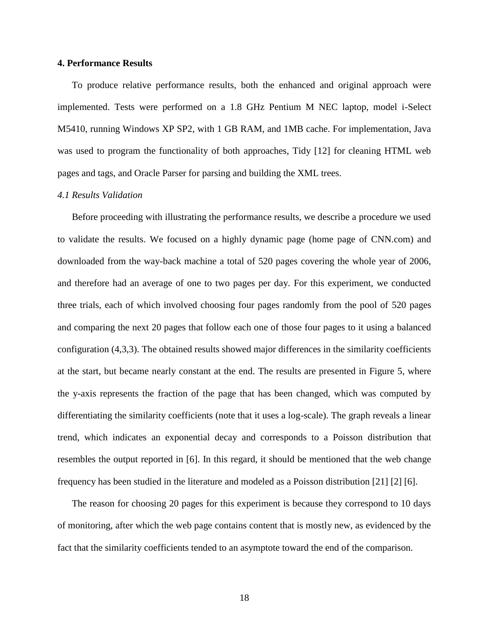#### **4. Performance Results**

To produce relative performance results, both the enhanced and original approach were implemented. Tests were performed on a 1.8 GHz Pentium M NEC laptop, model i-Select M5410, running Windows XP SP2, with 1 GB RAM, and 1MB cache. For implementation, Java was used to program the functionality of both approaches, Tidy [12] for cleaning HTML web pages and tags, and Oracle Parser for parsing and building the XML trees.

# *4.1 Results Validation*

Before proceeding with illustrating the performance results, we describe a procedure we used to validate the results. We focused on a highly dynamic page (home page of CNN.com) and downloaded from the way-back machine a total of 520 pages covering the whole year of 2006, and therefore had an average of one to two pages per day. For this experiment, we conducted three trials, each of which involved choosing four pages randomly from the pool of 520 pages and comparing the next 20 pages that follow each one of those four pages to it using a balanced configuration (4,3,3). The obtained results showed major differences in the similarity coefficients at the start, but became nearly constant at the end. The results are presented in Figure 5, where the y-axis represents the fraction of the page that has been changed, which was computed by differentiating the similarity coefficients (note that it uses a log-scale). The graph reveals a linear trend, which indicates an exponential decay and corresponds to a Poisson distribution that resembles the output reported in [6]. In this regard, it should be mentioned that the web change frequency has been studied in the literature and modeled as a Poisson distribution [21] [2] [6].

The reason for choosing 20 pages for this experiment is because they correspond to 10 days of monitoring, after which the web page contains content that is mostly new, as evidenced by the fact that the similarity coefficients tended to an asymptote toward the end of the comparison.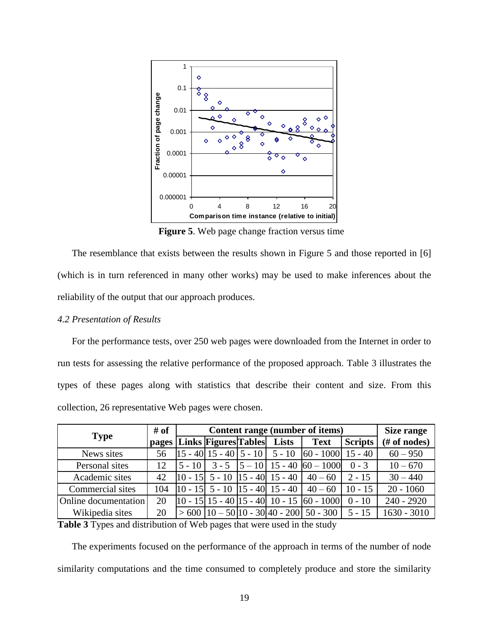

**Figure 5**. Web page change fraction versus time

The resemblance that exists between the results shown in Figure 5 and those reported in [6] (which is in turn referenced in many other works) may be used to make inferences about the reliability of the output that our approach produces.

# *4.2 Presentation of Results*

For the performance tests, over 250 web pages were downloaded from the Internet in order to run tests for assessing the relative performance of the proposed approach. Table 3 illustrates the types of these pages along with statistics that describe their content and size. From this collection, 26 representative Web pages were chosen.

| <b>Type</b>          | # of  | Content range (number of items) |                             |  |                                                                                                  |                                                                                                                                          | Size range |               |
|----------------------|-------|---------------------------------|-----------------------------|--|--------------------------------------------------------------------------------------------------|------------------------------------------------------------------------------------------------------------------------------------------|------------|---------------|
|                      | pages |                                 | <b>Links Figures Tables</b> |  | Lists                                                                                            | <b>Text</b>                                                                                                                              | Scripts    | # of nodes)   |
| News sites           | 56    |                                 |                             |  |                                                                                                  | $\begin{bmatrix} 15 & -40 \end{bmatrix}$ 15 - 40   5 - 10   5 - 10   60 - 1000   15 - 40                                                 |            | $60 - 950$    |
| Personal sites       | 12    |                                 |                             |  |                                                                                                  | $\begin{bmatrix} 5 & -10 \end{bmatrix}$ 3 - 5 $\begin{bmatrix} 5 & -10 \end{bmatrix}$ 15 - 40 $\begin{bmatrix} 60 & -1000 \end{bmatrix}$ | $0 - 3$    | $10 - 670$    |
| Academic sites       | 42    |                                 |                             |  | $\begin{bmatrix} 10 & -15 \end{bmatrix}$ 5 - 10 $\begin{bmatrix} 15 & -40 \end{bmatrix}$ 15 - 40 | $40 - 60$                                                                                                                                | $2 - 15$   | $30 - 440$    |
| Commercial sites     | 104   |                                 |                             |  | $\begin{bmatrix} 10 & -15 \end{bmatrix}$ 5 - 10 $\begin{bmatrix} 15 & -40 \end{bmatrix}$ 15 - 40 | $40 - 60$                                                                                                                                | $10 - 15$  | $20 - 1060$   |
| Online documentation | 20    |                                 |                             |  |                                                                                                  | $\left  10 - 15 \right  15 - 40 \left  15 - 40 \right  10 - 15 \left  60 - 1000 \right $                                                 | $0 - 10$   | $240 - 2920$  |
| Wikipedia sites      | 20    |                                 |                             |  |                                                                                                  | $> 600$   10 – 50   10 – 30   40 – 200   50 – 300                                                                                        | $5 - 15$   | $1630 - 3010$ |

**Table 3** Types and distribution of Web pages that were used in the study

The experiments focused on the performance of the approach in terms of the number of node similarity computations and the time consumed to completely produce and store the similarity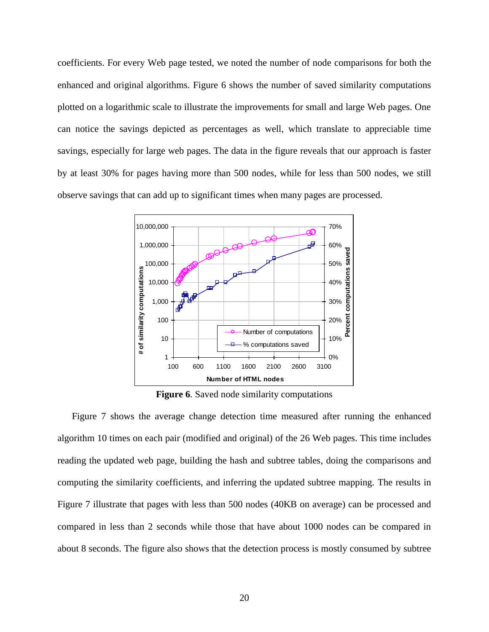coefficients. For every Web page tested, we noted the number of node comparisons for both the enhanced and original algorithms. Figure 6 shows the number of saved similarity computations plotted on a logarithmic scale to illustrate the improvements for small and large Web pages. One can notice the savings depicted as percentages as well, which translate to appreciable time savings, especially for large web pages. The data in the figure reveals that our approach is faster by at least 30% for pages having more than 500 nodes, while for less than 500 nodes, we still observe savings that can add up to significant times when many pages are processed.



**Figure 6**. Saved node similarity computations

Figure 7 shows the average change detection time measured after running the enhanced algorithm 10 times on each pair (modified and original) of the 26 Web pages. This time includes reading the updated web page, building the hash and subtree tables, doing the comparisons and computing the similarity coefficients, and inferring the updated subtree mapping. The results in Figure 7 illustrate that pages with less than 500 nodes (40KB on average) can be processed and compared in less than 2 seconds while those that have about 1000 nodes can be compared in about 8 seconds. The figure also shows that the detection process is mostly consumed by subtree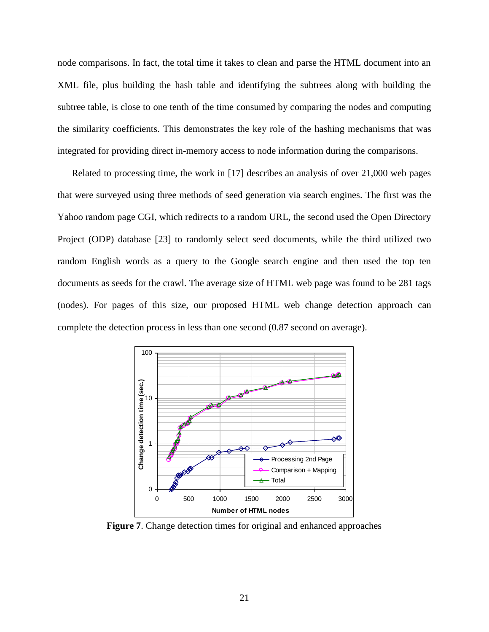node comparisons. In fact, the total time it takes to clean and parse the HTML document into an XML file, plus building the hash table and identifying the subtrees along with building the subtree table, is close to one tenth of the time consumed by comparing the nodes and computing the similarity coefficients. This demonstrates the key role of the hashing mechanisms that was integrated for providing direct in-memory access to node information during the comparisons.

Related to processing time, the work in [17] describes an analysis of over 21,000 web pages that were surveyed using three methods of seed generation via search engines. The first was the Yahoo random page CGI, which redirects to a random URL, the second used the Open Directory Project (ODP) database [23] to randomly select seed documents, while the third utilized two random English words as a query to the Google search engine and then used the top ten documents as seeds for the crawl. The average size of HTML web page was found to be 281 tags (nodes). For pages of this size, our proposed HTML web change detection approach can complete the detection process in less than one second (0.87 second on average).



**Figure 7**. Change detection times for original and enhanced approaches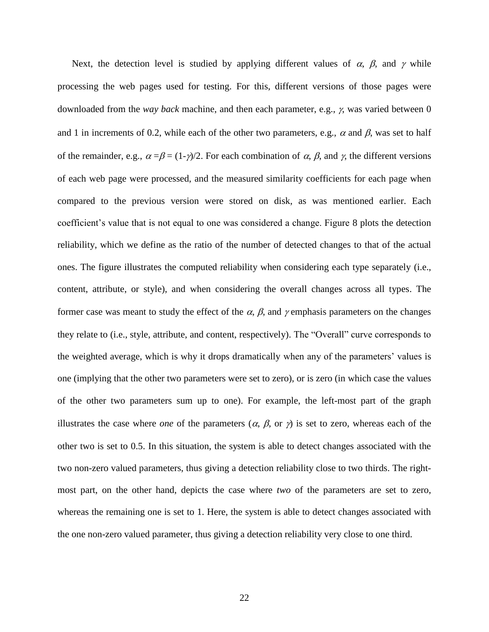Next, the detection level is studied by applying different values of  $\alpha$ ,  $\beta$ , and  $\gamma$  while processing the web pages used for testing. For this, different versions of those pages were downloaded from the *way back* machine, and then each parameter, e.g.,  $\gamma$ , was varied between 0 and 1 in increments of 0.2, while each of the other two parameters, e.g.,  $\alpha$  and  $\beta$ , was set to half of the remainder, e.g.,  $\alpha = \beta = (1-\gamma)/2$ . For each combination of  $\alpha$ ,  $\beta$ , and  $\gamma$ , the different versions of each web page were processed, and the measured similarity coefficients for each page when compared to the previous version were stored on disk, as was mentioned earlier. Each coefficient's value that is not equal to one was considered a change. Figure 8 plots the detection reliability, which we define as the ratio of the number of detected changes to that of the actual ones. The figure illustrates the computed reliability when considering each type separately (i.e., content, attribute, or style), and when considering the overall changes across all types. The former case was meant to study the effect of the  $\alpha$ ,  $\beta$ , and  $\gamma$  emphasis parameters on the changes they relate to (i.e., style, attribute, and content, respectively). The "Overall" curve corresponds to the weighted average, which is why it drops dramatically when any of the parameters' values is one (implying that the other two parameters were set to zero), or is zero (in which case the values of the other two parameters sum up to one). For example, the left-most part of the graph illustrates the case where *one* of the parameters  $(\alpha, \beta, \text{or } \gamma)$  is set to zero, whereas each of the other two is set to 0.5. In this situation, the system is able to detect changes associated with the two non-zero valued parameters, thus giving a detection reliability close to two thirds. The rightmost part, on the other hand, depicts the case where *two* of the parameters are set to zero, whereas the remaining one is set to 1. Here, the system is able to detect changes associated with the one non-zero valued parameter, thus giving a detection reliability very close to one third.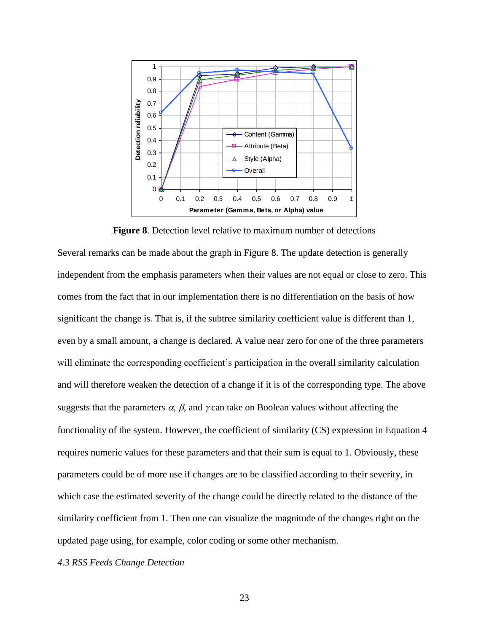

**Figure 8**. Detection level relative to maximum number of detections

Several remarks can be made about the graph in Figure 8. The update detection is generally independent from the emphasis parameters when their values are not equal or close to zero. This comes from the fact that in our implementation there is no differentiation on the basis of how significant the change is. That is, if the subtree similarity coefficient value is different than 1, even by a small amount, a change is declared. A value near zero for one of the three parameters will eliminate the corresponding coefficient's participation in the overall similarity calculation and will therefore weaken the detection of a change if it is of the corresponding type. The above suggests that the parameters  $\alpha$ ,  $\beta$ , and  $\gamma$  can take on Boolean values without affecting the functionality of the system. However, the coefficient of similarity (CS) expression in Equation 4 requires numeric values for these parameters and that their sum is equal to 1. Obviously, these parameters could be of more use if changes are to be classified according to their severity, in which case the estimated severity of the change could be directly related to the distance of the similarity coefficient from 1. Then one can visualize the magnitude of the changes right on the updated page using, for example, color coding or some other mechanism.

*4.3 RSS Feeds Change Detection*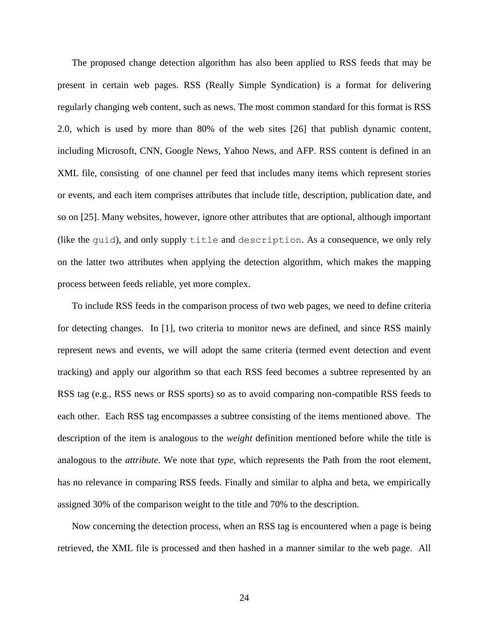The proposed change detection algorithm has also been applied to RSS feeds that may be present in certain web pages. RSS (Really Simple Syndication) is a format for delivering regularly changing web content, such as news. The most common standard for this format is RSS 2.0, which is used by more than 80% of the web sites [26] that publish dynamic content, including Microsoft, CNN, Google News, Yahoo News, and AFP. RSS content is defined in an XML file, consisting of one channel per feed that includes many items which represent stories or events, and each item comprises attributes that include title, description, publication date, and so on [25]. Many websites, however, ignore other attributes that are optional, although important (like the guid), and only supply title and description. As a consequence, we only rely on the latter two attributes when applying the detection algorithm, which makes the mapping process between feeds reliable, yet more complex.

To include RSS feeds in the comparison process of two web pages, we need to define criteria for detecting changes. In [1], two criteria to monitor news are defined, and since RSS mainly represent news and events, we will adopt the same criteria (termed event detection and event tracking) and apply our algorithm so that each RSS feed becomes a subtree represented by an RSS tag (e.g., RSS news or RSS sports) so as to avoid comparing non-compatible RSS feeds to each other. Each RSS tag encompasses a subtree consisting of the items mentioned above. The description of the item is analogous to the *weight* definition mentioned before while the title is analogous to the *attribute*. We note that *type*, which represents the Path from the root element, has no relevance in comparing RSS feeds. Finally and similar to alpha and beta, we empirically assigned 30% of the comparison weight to the title and 70% to the description.

Now concerning the detection process, when an RSS tag is encountered when a page is being retrieved, the XML file is processed and then hashed in a manner similar to the web page. All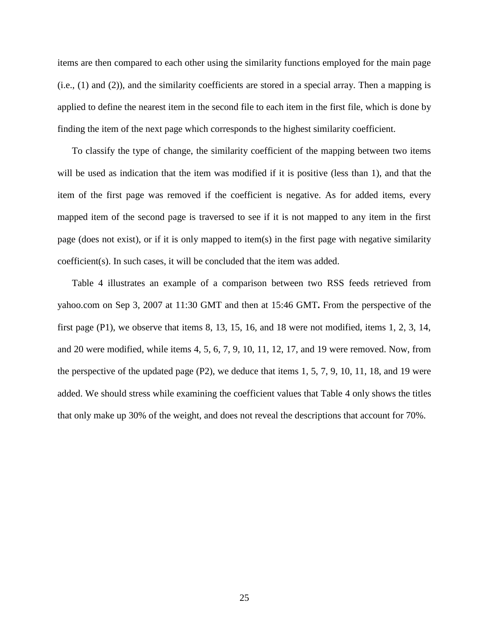items are then compared to each other using the similarity functions employed for the main page (i.e., (1) and (2)), and the similarity coefficients are stored in a special array. Then a mapping is applied to define the nearest item in the second file to each item in the first file, which is done by finding the item of the next page which corresponds to the highest similarity coefficient.

To classify the type of change, the similarity coefficient of the mapping between two items will be used as indication that the item was modified if it is positive (less than 1), and that the item of the first page was removed if the coefficient is negative. As for added items, every mapped item of the second page is traversed to see if it is not mapped to any item in the first page (does not exist), or if it is only mapped to item(s) in the first page with negative similarity coefficient(s). In such cases, it will be concluded that the item was added.

Table 4 illustrates an example of a comparison between two RSS feeds retrieved from yahoo.com on Sep 3, 2007 at 11:30 GMT and then at 15:46 GMT**.** From the perspective of the first page (P1), we observe that items 8, 13, 15, 16, and 18 were not modified, items 1, 2, 3, 14, and 20 were modified, while items 4, 5, 6, 7, 9, 10, 11, 12, 17, and 19 were removed. Now, from the perspective of the updated page  $(P2)$ , we deduce that items 1, 5, 7, 9, 10, 11, 18, and 19 were added. We should stress while examining the coefficient values that Table 4 only shows the titles that only make up 30% of the weight, and does not reveal the descriptions that account for 70%.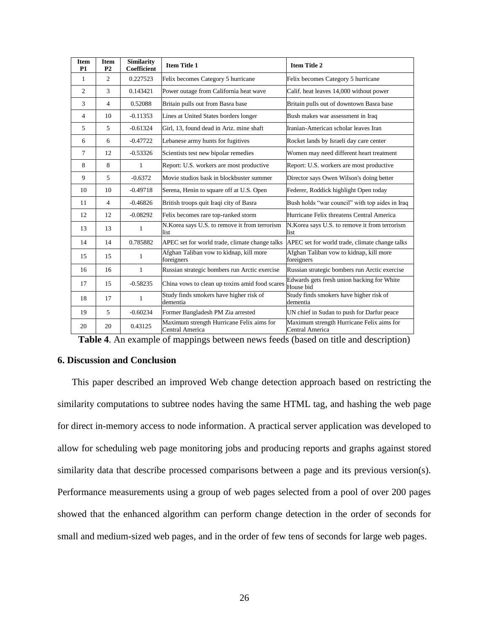| <b>Item</b><br>P <sub>1</sub> | <b>Item</b><br>P <sub>2</sub> | <b>Similarity</b><br><b>Coefficient</b> | <b>Item Title 1</b>                                          | <b>Item Title 2</b>                                          |
|-------------------------------|-------------------------------|-----------------------------------------|--------------------------------------------------------------|--------------------------------------------------------------|
| $\mathbf{1}$                  | $\overline{2}$                | 0.227523                                | Felix becomes Category 5 hurricane                           | Felix becomes Category 5 hurricane                           |
| 2                             | 3                             | 0.143421                                | Power outage from California heat wave                       | Calif. heat leaves 14,000 without power                      |
| 3                             | $\overline{4}$                | 0.52088                                 | Britain pulls out from Basra base                            | Britain pulls out of downtown Basra base                     |
| $\overline{4}$                | 10                            | $-0.11353$                              | Lines at United States borders longer                        | Bush makes war assessment in Iraq                            |
| 5                             | 5                             | $-0.61324$                              | Girl, 13, found dead in Ariz. mine shaft                     | Iranian-American scholar leaves Iran                         |
| 6                             | 6                             | $-0.47722$                              | Lebanese army hunts for fugitives                            | Rocket lands by Israeli day care center                      |
| 7                             | 12                            | $-0.53326$                              | Scientists test new bipolar remedies                         | Women may need different heart treatment                     |
| 8                             | 8                             | 1                                       | Report: U.S. workers are most productive                     | Report: U.S. workers are most productive                     |
| 9                             | 5                             | $-0.6372$                               | Movie studios bask in blockbuster summer                     | Director says Owen Wilson's doing better                     |
| 10                            | 10                            | $-0.49718$                              | Serena, Henin to square off at U.S. Open                     | Federer, Roddick highlight Open today                        |
| 11                            | 4                             | $-0.46826$                              | British troops quit Iraqi city of Basra                      | Bush holds "war council" with top aides in Iraq              |
| 12                            | 12                            | $-0.08292$                              | Felix becomes rare top-ranked storm                          | Hurricane Felix threatens Central America                    |
| 13                            | 13                            | 1                                       | N.Korea says U.S. to remove it from terrorism<br>list        | N. Korea says U.S. to remove it from terrorism<br>list       |
| 14                            | 14                            | 0.785882                                | APEC set for world trade, climate change talks               | APEC set for world trade, climate change talks               |
| 15                            | 15                            | 1                                       | Afghan Taliban vow to kidnap, kill more<br>foreigners        | Afghan Taliban vow to kidnap, kill more<br>foreigners        |
| 16                            | 16                            | 1                                       | Russian strategic bombers run Arctic exercise                | Russian strategic bombers run Arctic exercise                |
| 17                            | 15                            | $-0.58235$                              | China vows to clean up toxins amid food scares               | Edwards gets fresh union backing for White<br>House bid      |
| 18                            | 17                            | 1                                       | Study finds smokers have higher risk of<br>dementia          | Study finds smokers have higher risk of<br>dementia          |
| 19                            | 5                             | $-0.60234$                              | Former Bangladesh PM Zia arrested                            | UN chief in Sudan to push for Darfur peace                   |
| 20                            | 20                            | 0.43125                                 | Maximum strength Hurricane Felix aims for<br>Central America | Maximum strength Hurricane Felix aims for<br>Central America |

|  | Table 4. An example of mappings between news feeds (based on title and description) |  |  |  |
|--|-------------------------------------------------------------------------------------|--|--|--|
|  |                                                                                     |  |  |  |

# **6. Discussion and Conclusion**

This paper described an improved Web change detection approach based on restricting the similarity computations to subtree nodes having the same HTML tag, and hashing the web page for direct in-memory access to node information. A practical server application was developed to allow for scheduling web page monitoring jobs and producing reports and graphs against stored similarity data that describe processed comparisons between a page and its previous version(s). Performance measurements using a group of web pages selected from a pool of over 200 pages showed that the enhanced algorithm can perform change detection in the order of seconds for small and medium-sized web pages, and in the order of few tens of seconds for large web pages.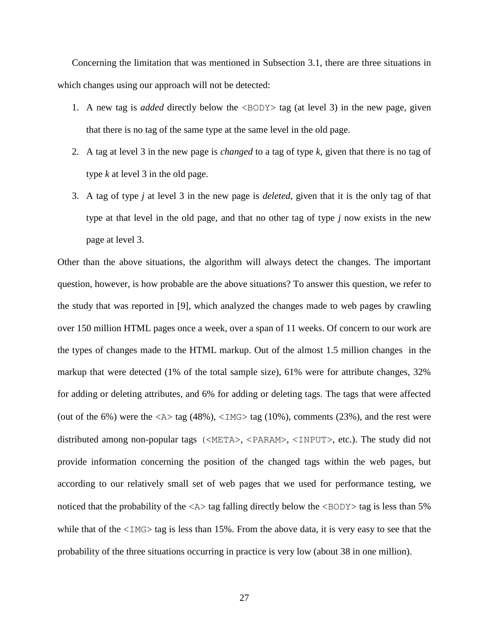Concerning the limitation that was mentioned in Subsection 3.1, there are three situations in which changes using our approach will not be detected:

- 1. A new tag is *added* directly below the <BODY> tag (at level 3) in the new page, given that there is no tag of the same type at the same level in the old page.
- 2. A tag at level 3 in the new page is *changed* to a tag of type *k*, given that there is no tag of type *k* at level 3 in the old page.
- 3. A tag of type *j* at level 3 in the new page is *deleted*, given that it is the only tag of that type at that level in the old page, and that no other tag of type *j* now exists in the new page at level 3.

Other than the above situations, the algorithm will always detect the changes. The important question, however, is how probable are the above situations? To answer this question, we refer to the study that was reported in [9], which analyzed the changes made to web pages by crawling over 150 million HTML pages once a week, over a span of 11 weeks. Of concern to our work are the types of changes made to the HTML markup. Out of the almost 1.5 million changes in the markup that were detected (1% of the total sample size), 61% were for attribute changes, 32% for adding or deleting attributes, and 6% for adding or deleting tags. The tags that were affected (out of the 6%) were the  $\langle A \rangle$  tag (48%),  $\langle IMG \rangle$  tag (10%), comments (23%), and the rest were distributed among non-popular tags (<META>, <PARAM>, <INPUT>, etc.). The study did not provide information concerning the position of the changed tags within the web pages, but according to our relatively small set of web pages that we used for performance testing, we noticed that the probability of the  $\langle A \rangle$  tag falling directly below the  $\langle BODY \rangle$  tag is less than 5% while that of the  $\langle 1 \text{M} G \rangle$  tag is less than 15%. From the above data, it is very easy to see that the probability of the three situations occurring in practice is very low (about 38 in one million).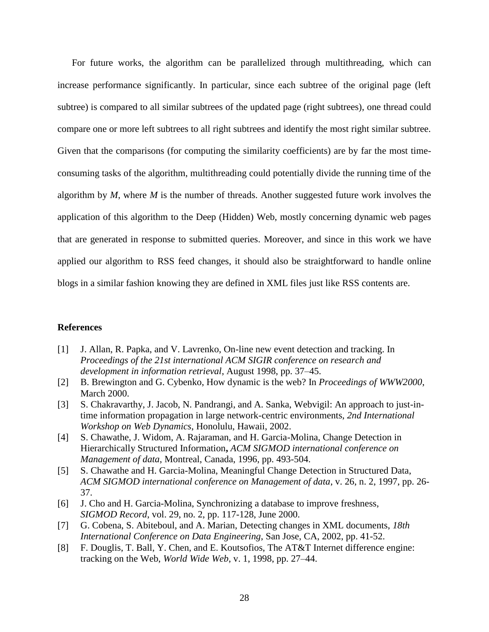For future works, the algorithm can be parallelized through multithreading, which can increase performance significantly. In particular, since each subtree of the original page (left subtree) is compared to all similar subtrees of the updated page (right subtrees), one thread could compare one or more left subtrees to all right subtrees and identify the most right similar subtree. Given that the comparisons (for computing the similarity coefficients) are by far the most timeconsuming tasks of the algorithm, multithreading could potentially divide the running time of the algorithm by *M*, where *M* is the number of threads. Another suggested future work involves the application of this algorithm to the Deep (Hidden) Web, mostly concerning dynamic web pages that are generated in response to submitted queries. Moreover, and since in this work we have applied our algorithm to RSS feed changes, it should also be straightforward to handle online blogs in a similar fashion knowing they are defined in XML files just like RSS contents are.

# **References**

- [1] J. Allan, R. Papka, and V. Lavrenko, On-line new event detection and tracking. In *Proceedings of the 21st international ACM SIGIR conference on research and development in information retrieval*, August 1998, pp. 37–45.
- [2] B. Brewington and G. Cybenko, How dynamic is the web? In *Proceedings of WWW2000*, March 2000.
- [3] S. Chakravarthy, J. Jacob, N. Pandrangi, and A. Sanka, Webvigil: An approach to just-intime information propagation in large network-centric environments, *2nd International Workshop on Web Dynamics*, Honolulu, Hawaii, 2002.
- [4] S. Chawathe, J. Widom, A. Rajaraman, and H. Garcia-Molina, Change Detection in Hierarchically Structured Information**,** *ACM SIGMOD international conference on Management of data*, Montreal, Canada, 1996, pp. 493-504.
- [5] S. Chawathe and H. Garcia-Molina, Meaningful Change Detection in Structured Data, *ACM SIGMOD international conference on Management of data*, v. 26, n. 2, 1997, pp. 26- 37.
- [6] J. Cho and H. Garcia-Molina, Synchronizing a database to improve freshness, *SIGMOD Record*, vol. 29, no. 2, pp. 117-128, June 2000.
- [7] G. Cobena, S. Abiteboul, and A. Marian, Detecting changes in XML documents, *18th International Conference on Data Engineering*, San Jose, CA, 2002, pp. 41-52.
- [8] F. Douglis, T. Ball, Y. Chen, and E. Koutsofios, The AT&T Internet difference engine: tracking on the Web, *World Wide Web*, v. 1, 1998, pp. 27–44.